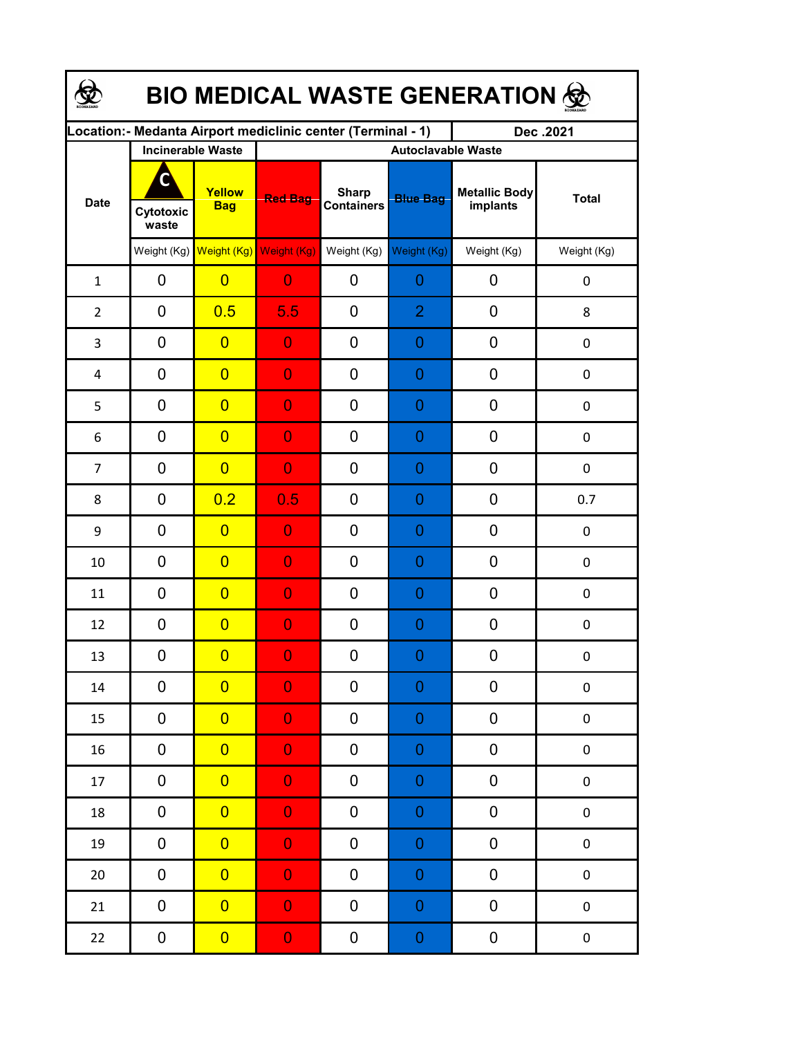| <b>BIO MEDICAL WASTE GENERATION ©</b> |                          |                         |                                                             |                                   |                  |                                  |              |  |  |  |
|---------------------------------------|--------------------------|-------------------------|-------------------------------------------------------------|-----------------------------------|------------------|----------------------------------|--------------|--|--|--|
|                                       |                          |                         | Location:- Medanta Airport mediclinic center (Terminal - 1) |                                   |                  | Dec.2021                         |              |  |  |  |
|                                       | <b>Incinerable Waste</b> |                         | <b>Autoclavable Waste</b>                                   |                                   |                  |                                  |              |  |  |  |
| <b>Date</b>                           | C<br>Cytotoxic<br>waste  | Yellow<br><b>Bag</b>    | <b>Red Bag</b>                                              | <b>Sharp</b><br><b>Containers</b> | <b>Blue Bag</b>  | <b>Metallic Body</b><br>implants | <b>Total</b> |  |  |  |
|                                       |                          | Weight (Kg) Weight (Kg) | Weight (Kg)                                                 | Weight (Kg)                       | Weight (Kg)      | Weight (Kg)                      | Weight (Kg)  |  |  |  |
| $\mathbf{1}$                          | 0                        | $\overline{0}$          | $\overline{0}$                                              | 0                                 | 0                | 0                                | $\pmb{0}$    |  |  |  |
| $\overline{2}$                        | 0                        | 0.5                     | 5.5                                                         | 0                                 | $\overline{2}$   | 0                                | 8            |  |  |  |
| 3                                     | 0                        | $\overline{0}$          | $\overline{0}$                                              | 0                                 | 0                | 0                                | $\pmb{0}$    |  |  |  |
| 4                                     | 0                        | $\overline{0}$          | $\overline{0}$                                              | 0                                 | 0                | 0                                | $\pmb{0}$    |  |  |  |
| 5                                     | 0                        | $\overline{0}$          | $\overline{0}$                                              | 0                                 | 0                | 0                                | $\pmb{0}$    |  |  |  |
| 6                                     | 0                        | $\overline{0}$          | $\overline{0}$                                              | 0                                 | 0                | 0                                | $\pmb{0}$    |  |  |  |
| $\overline{7}$                        | 0                        | $\overline{0}$          | $\overline{0}$                                              | 0                                 | 0                | 0                                | $\pmb{0}$    |  |  |  |
| 8                                     | $\mathbf 0$              | 0.2                     | 0.5                                                         | 0                                 | 0                | 0                                | 0.7          |  |  |  |
| 9                                     | 0                        | $\overline{0}$          | $\overline{0}$                                              | 0                                 | 0                | 0                                | $\mathbf 0$  |  |  |  |
| 10                                    | 0                        | $\overline{0}$          | $\overline{0}$                                              | 0                                 | 0                | 0                                | $\mathbf 0$  |  |  |  |
| 11                                    | 0                        | $\overline{0}$          | $\overline{0}$                                              | 0                                 | 0                | 0                                | $\mathbf 0$  |  |  |  |
| 12                                    | 0                        | $\overline{0}$          | $\overline{0}$                                              | 0                                 | 0                | 0                                | 0            |  |  |  |
| 13                                    | 0                        | $\overline{0}$          | $\Omega$                                                    | 0                                 | $\Omega$         | 0                                | 0            |  |  |  |
| 14                                    | 0                        | $\overline{0}$          | $\overline{0}$                                              | 0                                 | $\boldsymbol{0}$ | 0                                | $\pmb{0}$    |  |  |  |
| 15                                    | 0                        | $\overline{0}$          | $\overline{0}$                                              | 0                                 | $\boldsymbol{0}$ | 0                                | $\pmb{0}$    |  |  |  |
| 16                                    | 0                        | $\overline{0}$          | $\overline{0}$                                              | 0                                 | $\mathbf 0$      | 0                                | $\pmb{0}$    |  |  |  |
| 17                                    | 0                        | $\overline{0}$          | $\overline{0}$                                              | 0                                 | $\mathbf 0$      | 0                                | $\pmb{0}$    |  |  |  |
| 18                                    | 0                        | $\overline{0}$          | $\overline{0}$                                              | 0                                 | $\mathbf 0$      | 0                                | $\pmb{0}$    |  |  |  |
| 19                                    | 0                        | $\overline{0}$          | $\overline{0}$                                              | 0                                 | $\mathbf 0$      | 0                                | $\pmb{0}$    |  |  |  |
| $20\,$                                | 0                        | $\overline{0}$          | $\overline{0}$                                              | 0                                 | $\mathbf 0$      | 0                                | $\pmb{0}$    |  |  |  |
| 21                                    | 0                        | $\overline{0}$          | $\overline{0}$                                              | 0                                 | $\mathbf 0$      | 0                                | $\pmb{0}$    |  |  |  |
| 22                                    | 0                        | $\overline{0}$          | $\mathbf{0}$                                                | 0                                 | $\mathbf 0$      | 0                                | $\pmb{0}$    |  |  |  |